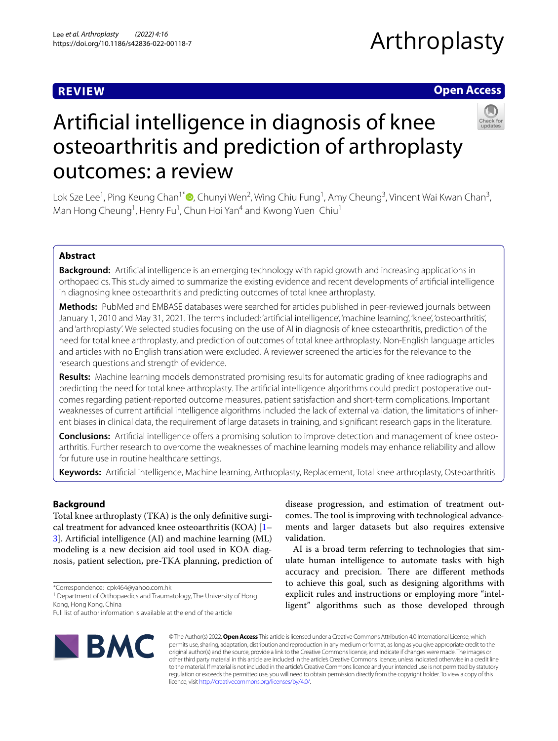## **REVIEW**

# Arthroplasty

## **Open Access**



## Artifcial intelligence in diagnosis of knee osteoarthritis and prediction of arthroplasty outcomes: a review

Lok Sze Lee<sup>1</sup>[,](http://orcid.org/0000-0002-1969-0895) Ping Keung Chan<sup>1\*</sup>®, Chunyi Wen<sup>2</sup>, Wing Chiu Fung<sup>1</sup>, Amy Cheung<sup>3</sup>, Vincent Wai Kwan Chan<sup>3</sup>, Man Hong Cheung<sup>1</sup>, Henry Fu<sup>1</sup>, Chun Hoi Yan<sup>4</sup> and Kwong Yuen Chiu<sup>1</sup>

## **Abstract**

**Background:** Artifcial intelligence is an emerging technology with rapid growth and increasing applications in orthopaedics. This study aimed to summarize the existing evidence and recent developments of artifcial intelligence in diagnosing knee osteoarthritis and predicting outcomes of total knee arthroplasty.

**Methods:** PubMed and EMBASE databases were searched for articles published in peer-reviewed journals between January 1, 2010 and May 31, 2021. The terms included: 'artifcial intelligence', 'machine learning', 'knee', 'osteoarthritis', and 'arthroplasty'. We selected studies focusing on the use of AI in diagnosis of knee osteoarthritis, prediction of the need for total knee arthroplasty, and prediction of outcomes of total knee arthroplasty. Non-English language articles and articles with no English translation were excluded. A reviewer screened the articles for the relevance to the research questions and strength of evidence.

**Results:** Machine learning models demonstrated promising results for automatic grading of knee radiographs and predicting the need for total knee arthroplasty. The artifcial intelligence algorithms could predict postoperative outcomes regarding patient-reported outcome measures, patient satisfaction and short-term complications. Important weaknesses of current artifcial intelligence algorithms included the lack of external validation, the limitations of inherent biases in clinical data, the requirement of large datasets in training, and signifcant research gaps in the literature.

**Conclusions:** Artificial intelligence offers a promising solution to improve detection and management of knee osteoarthritis. Further research to overcome the weaknesses of machine learning models may enhance reliability and allow for future use in routine healthcare settings.

**Keywords:** Artifcial intelligence, Machine learning, Arthroplasty, Replacement, Total knee arthroplasty, Osteoarthritis

## **Background**

Total knee arthroplasty (TKA) is the only defnitive surgical treatment for advanced knee osteoarthritis (KOA) [[1–](#page-6-0) [3\]](#page-6-1). Artifcial intelligence (AI) and machine learning (ML) modeling is a new decision aid tool used in KOA diagnosis, patient selection, pre-TKA planning, prediction of

\*Correspondence: cpk464@yahoo.com.hk

<sup>1</sup> Department of Orthopaedics and Traumatology, The University of Hong Kong, Hong Kong, China

**IBMC** 

disease progression, and estimation of treatment outcomes. The tool is improving with technological advancements and larger datasets but also requires extensive validation.

AI is a broad term referring to technologies that simulate human intelligence to automate tasks with high accuracy and precision. There are different methods to achieve this goal, such as designing algorithms with explicit rules and instructions or employing more "intelligent" algorithms such as those developed through

© The Author(s) 2022. **Open Access** This article is licensed under a Creative Commons Attribution 4.0 International License, which permits use, sharing, adaptation, distribution and reproduction in any medium or format, as long as you give appropriate credit to the original author(s) and the source, provide a link to the Creative Commons licence, and indicate if changes were made. The images or other third party material in this article are included in the article's Creative Commons licence, unless indicated otherwise in a credit line to the material. If material is not included in the article's Creative Commons licence and your intended use is not permitted by statutory regulation or exceeds the permitted use, you will need to obtain permission directly from the copyright holder. To view a copy of this licence, visit [http://creativecommons.org/licenses/by/4.0/.](http://creativecommons.org/licenses/by/4.0/)

Full list of author information is available at the end of the article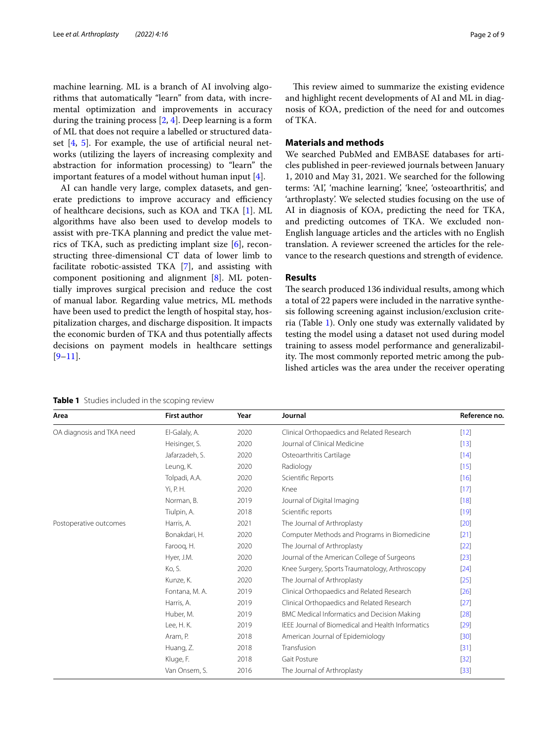machine learning. ML is a branch of AI involving algorithms that automatically "learn" from data, with incremental optimization and improvements in accuracy during the training process [[2,](#page-6-2) [4](#page-6-3)]. Deep learning is a form of ML that does not require a labelled or structured dataset  $[4, 5]$  $[4, 5]$  $[4, 5]$  $[4, 5]$ . For example, the use of artificial neural networks (utilizing the layers of increasing complexity and abstraction for information processing) to "learn" the important features of a model without human input [\[4\]](#page-6-3).

AI can handle very large, complex datasets, and generate predictions to improve accuracy and efficiency of healthcare decisions, such as KOA and TKA [\[1](#page-6-0)]. ML algorithms have also been used to develop models to assist with pre-TKA planning and predict the value metrics of TKA, such as predicting implant size [[6\]](#page-6-5), reconstructing three-dimensional CT data of lower limb to facilitate robotic-assisted TKA [\[7\]](#page-6-6), and assisting with component positioning and alignment [[8\]](#page-6-7). ML potentially improves surgical precision and reduce the cost of manual labor. Regarding value metrics, ML methods have been used to predict the length of hospital stay, hospitalization charges, and discharge disposition. It impacts the economic burden of TKA and thus potentially afects decisions on payment models in healthcare settings  $[9-11]$  $[9-11]$ .

This review aimed to summarize the existing evidence and highlight recent developments of AI and ML in diagnosis of KOA, prediction of the need for and outcomes of TKA.

#### **Materials and methods**

We searched PubMed and EMBASE databases for articles published in peer-reviewed journals between January 1, 2010 and May 31, 2021. We searched for the following terms: 'AI', 'machine learning', 'knee', 'osteoarthritis', and 'arthroplasty'. We selected studies focusing on the use of AI in diagnosis of KOA, predicting the need for TKA, and predicting outcomes of TKA. We excluded non-English language articles and the articles with no English translation. A reviewer screened the articles for the relevance to the research questions and strength of evidence.

#### **Results**

The search produced 136 individual results, among which a total of 22 papers were included in the narrative synthesis following screening against inclusion/exclusion criteria (Table [1](#page-1-0)). Only one study was externally validated by testing the model using a dataset not used during model training to assess model performance and generalizability. The most commonly reported metric among the published articles was the area under the receiver operating

<span id="page-1-0"></span>**Table 1** Studies included in the scoping review

| Area                      | <b>First author</b> | Year | Journal                                            | Reference no. |
|---------------------------|---------------------|------|----------------------------------------------------|---------------|
| OA diagnosis and TKA need | El-Galaly, A.       | 2020 | Clinical Orthopaedics and Related Research         | $[12]$        |
|                           | Heisinger, S.       | 2020 | Journal of Clinical Medicine                       | $[13]$        |
|                           | Jafarzadeh, S.      | 2020 | Osteoarthritis Cartilage                           | $[14]$        |
|                           | Leung, K.           | 2020 | Radiology                                          | $[15]$        |
|                           | Tolpadi, A.A.       | 2020 | Scientific Reports                                 | [16]          |
|                           | Yi, P. H.           | 2020 | Knee                                               | $[17]$        |
|                           | Norman, B.          | 2019 | Journal of Digital Imaging                         | $[18]$        |
|                           | Tiulpin, A.         | 2018 | Scientific reports                                 | $[19]$        |
| Postoperative outcomes    | Harris, A.          | 2021 | The Journal of Arthroplasty                        | $[20]$        |
|                           | Bonakdari, H.       | 2020 | Computer Methods and Programs in Biomedicine       | $[21]$        |
|                           | Farooq, H.          | 2020 | The Journal of Arthroplasty                        | $[22]$        |
|                           | Hyer, J.M.          | 2020 | Journal of the American College of Surgeons        | $[23]$        |
|                           | Ko, S.              | 2020 | Knee Surgery, Sports Traumatology, Arthroscopy     | $[24]$        |
|                           | Kunze, K.           | 2020 | The Journal of Arthroplasty                        | $[25]$        |
|                           | Fontana, M. A.      | 2019 | Clinical Orthopaedics and Related Research         | [26]          |
|                           | Harris, A.          | 2019 | Clinical Orthopaedics and Related Research         | $[27]$        |
|                           | Huber, M.           | 2019 | <b>BMC Medical Informatics and Decision Making</b> | $[28]$        |
|                           | Lee, H. K.          | 2019 | IEEE Journal of Biomedical and Health Informatics  | $[29]$        |
|                           | Aram, P.            | 2018 | American Journal of Epidemiology                   | $[30]$        |
|                           | Huang, Z.           | 2018 | Transfusion                                        | $[31]$        |
|                           | Kluge, F.           | 2018 | Gait Posture                                       | $[32]$        |
|                           | Van Onsem, S.       | 2016 | The Journal of Arthroplasty                        | $[33]$        |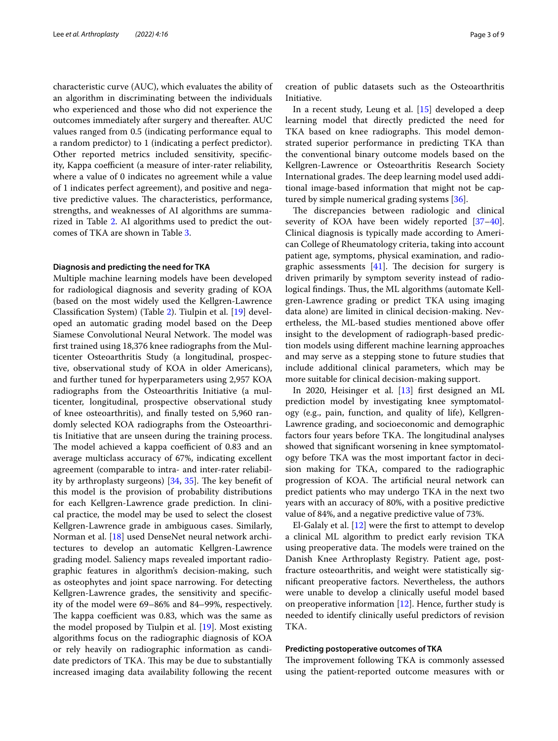characteristic curve (AUC), which evaluates the ability of an algorithm in discriminating between the individuals who experienced and those who did not experience the outcomes immediately after surgery and thereafter. AUC values ranged from 0.5 (indicating performance equal to a random predictor) to 1 (indicating a perfect predictor). Other reported metrics included sensitivity, specifcity, Kappa coefficient (a measure of inter-rater reliability, where a value of 0 indicates no agreement while a value of 1 indicates perfect agreement), and positive and negative predictive values. The characteristics, performance, strengths, and weaknesses of AI algorithms are summarized in Table [2](#page-3-0). AI algorithms used to predict the outcomes of TKA are shown in Table [3.](#page-5-0)

#### **Diagnosis and predicting the need for TKA**

Multiple machine learning models have been developed for radiological diagnosis and severity grading of KOA (based on the most widely used the Kellgren-Lawrence Classifcation System) (Table [2\)](#page-3-0). Tiulpin et al. [[19\]](#page-7-7) developed an automatic grading model based on the Deep Siamese Convolutional Neural Network. The model was frst trained using 18,376 knee radiographs from the Multicenter Osteoarthritis Study (a longitudinal, prospective, observational study of KOA in older Americans), and further tuned for hyperparameters using 2,957 KOA radiographs from the Osteoarthritis Initiative (a multicenter, longitudinal, prospective observational study of knee osteoarthritis), and fnally tested on 5,960 randomly selected KOA radiographs from the Osteoarthritis Initiative that are unseen during the training process. The model achieved a kappa coefficient of 0.83 and an average multiclass accuracy of 67%, indicating excellent agreement (comparable to intra- and inter-rater reliability by arthroplasty surgeons)  $[34, 35]$  $[34, 35]$  $[34, 35]$  $[34, 35]$ . The key benefit of this model is the provision of probability distributions for each Kellgren-Lawrence grade prediction. In clinical practice, the model may be used to select the closest Kellgren-Lawrence grade in ambiguous cases. Similarly, Norman et al. [[18\]](#page-7-6) used DenseNet neural network architectures to develop an automatic Kellgren-Lawrence grading model. Saliency maps revealed important radiographic features in algorithm's decision-making, such as osteophytes and joint space narrowing. For detecting Kellgren-Lawrence grades, the sensitivity and specifcity of the model were 69–86% and 84–99%, respectively. The kappa coefficient was 0.83, which was the same as the model proposed by Tiulpin et al. [[19\]](#page-7-7). Most existing algorithms focus on the radiographic diagnosis of KOA or rely heavily on radiographic information as candidate predictors of TKA. This may be due to substantially increased imaging data availability following the recent creation of public datasets such as the Osteoarthritis Initiative.

In a recent study, Leung et al. [\[15\]](#page-7-3) developed a deep learning model that directly predicted the need for TKA based on knee radiographs. This model demonstrated superior performance in predicting TKA than the conventional binary outcome models based on the Kellgren-Lawrence or Osteoarthritis Research Society International grades. The deep learning model used additional image-based information that might not be cap-tured by simple numerical grading systems [[36](#page-7-24)].

The discrepancies between radiologic and clinical severity of KOA have been widely reported [[37](#page-7-25)[–40](#page-7-26)]. Clinical diagnosis is typically made according to American College of Rheumatology criteria, taking into account patient age, symptoms, physical examination, and radiographic assessments  $[41]$  $[41]$ . The decision for surgery is driven primarily by symptom severity instead of radiological findings. Thus, the ML algorithms (automate Kellgren-Lawrence grading or predict TKA using imaging data alone) are limited in clinical decision-making. Nevertheless, the ML-based studies mentioned above ofer insight to the development of radiograph-based prediction models using diferent machine learning approaches and may serve as a stepping stone to future studies that include additional clinical parameters, which may be more suitable for clinical decision-making support.

In 2020, Heisinger et al. [\[13](#page-7-1)] frst designed an ML prediction model by investigating knee symptomatology (e.g., pain, function, and quality of life), Kellgren-Lawrence grading, and socioeconomic and demographic factors four years before TKA. The longitudinal analyses showed that signifcant worsening in knee symptomatology before TKA was the most important factor in decision making for TKA, compared to the radiographic progression of KOA. The artificial neural network can predict patients who may undergo TKA in the next two years with an accuracy of 80%, with a positive predictive value of 84%, and a negative predictive value of 73%.

El-Galaly et al. [\[12](#page-7-0)] were the frst to attempt to develop a clinical ML algorithm to predict early revision TKA using preoperative data. The models were trained on the Danish Knee Arthroplasty Registry. Patient age, postfracture osteoarthritis, and weight were statistically signifcant preoperative factors. Nevertheless, the authors were unable to develop a clinically useful model based on preoperative information  $[12]$  $[12]$ . Hence, further study is needed to identify clinically useful predictors of revision TKA.

#### **Predicting postoperative outcomes of TKA**

The improvement following TKA is commonly assessed using the patient-reported outcome measures with or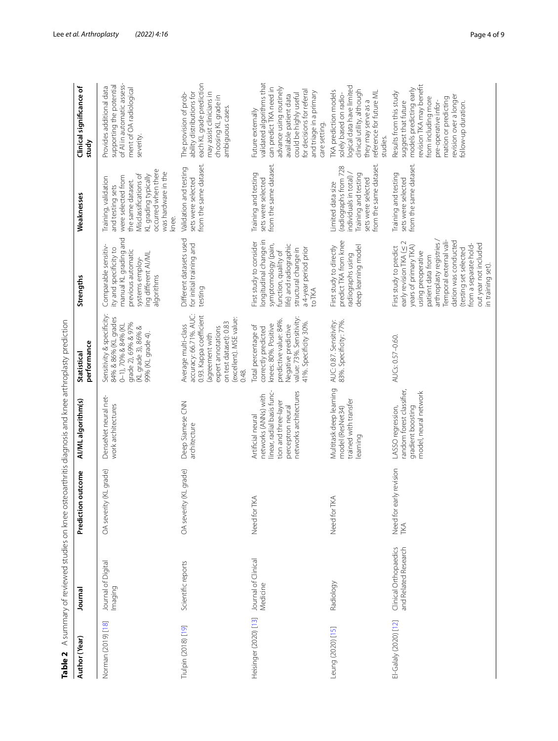| Table 2               |                                               | A summary of reviewed studies on knee osteoarthritis diagnosis and knee arthroplasty prediction |                                                                                                                                                |                                                                                                                                                                                 |                                                                                                                                                                                                                                                                                                   |                                                                                                                                                                                             |                                                                                                                                                                                                                                    |
|-----------------------|-----------------------------------------------|-------------------------------------------------------------------------------------------------|------------------------------------------------------------------------------------------------------------------------------------------------|---------------------------------------------------------------------------------------------------------------------------------------------------------------------------------|---------------------------------------------------------------------------------------------------------------------------------------------------------------------------------------------------------------------------------------------------------------------------------------------------|---------------------------------------------------------------------------------------------------------------------------------------------------------------------------------------------|------------------------------------------------------------------------------------------------------------------------------------------------------------------------------------------------------------------------------------|
| Author (Year)         | Journal                                       | outcome<br>Prediction                                                                           | AI/ML algorithm(s)                                                                                                                             | performance<br>Statistical                                                                                                                                                      | Strengths                                                                                                                                                                                                                                                                                         | Weaknesses                                                                                                                                                                                  | <b>Clinical significance of</b><br>study                                                                                                                                                                                           |
| Norman (2019) [18]    | Journal of Digital<br>lmaging                 | OA severity (KL grade)                                                                          | DenseNet neural net-<br>work architectures                                                                                                     | Sensitivity & specificity:<br>84% & 86% (KL grades<br>grade 2), 69% & 97%<br>0-1), 70% & 84% (KL<br>(KL grade 3), 86% &<br>99% (KL grade 4).                                    | manual KL grading and<br>Comparable sensitiv-<br>ity and specificity to<br>previous automatic<br>ing different AI/ML<br>systems employ-<br>algorithms                                                                                                                                             | occurred when there<br>was hardware in the<br>Misclassifications of<br>KL grading typically<br>were selected from<br>Training, validation<br>the same dataset.<br>and testing sets<br>knee. | of Al in automatic assess-<br>supporting the potential<br>Provides additional data<br>ment of OA radiological<br>severity.                                                                                                         |
| Tiulpin (2018) [19]   | Scientific reports                            | OA severity (KL grade)                                                                          | Deep Siamese CNN<br>architecture                                                                                                               | accuracy: 66.71%. AUC:<br>0.93. Kappa coefficient<br>(excellent). MSE value:<br>on test dataset): 0.83<br>Average multi-class<br>expert annotations<br>(agreement with<br>0.48. | Different datasets used<br>for initial training and<br>testing                                                                                                                                                                                                                                    | from the same dataset.<br>Validation and testing<br>sets were selected                                                                                                                      | each KL grade prediction<br>ability distributions for<br>may assist clinicians in<br>The provision of prob-<br>choosing KL grade in<br>ambiguous cases.                                                                            |
| Heisinger (2020) [13] | Journal of Clinical<br>Medicine               | Need for TKA                                                                                    | linear, radial basis func-<br>networks architectures<br>networks (ANNs) with<br>tion and three-layer<br>perceptron neural<br>Artificial neural | Negative predictive<br>value: 73%. Sensitivity:<br>oredictive value: 84%.<br>41%. Specificity 30%.<br>knees: 80%. Positive<br>Total percentage of<br>correctly predicted        | longitudinal change in<br>First study to consider<br>symptomology (pain,<br>ife) and radiographic<br>a 4-year period prior<br>structural change in<br>function, quality of<br>to TKA                                                                                                              | from the same dataset.<br>Training and testing<br>sets were selected                                                                                                                        | validated algorithms that<br>can predict TKA need in<br>advance using routinely<br>for decisions for referral<br>and triage in a primary<br>could be highly useful<br>available patient data<br>Future externally<br>care setting. |
| eung (2020) [15]      | Radiology                                     | Need for TKA                                                                                    | Multitask deep learning<br>trained with transfer<br>model (ResNet34)<br>earning                                                                | AUC: 0.87. Sensitivity:<br>83%. Specificity: 77%.                                                                                                                               | predict TKA from knee<br>First study to directly<br>deep learning model<br>radiographs using                                                                                                                                                                                                      | from the same dataset.<br>(radiographs from 728<br>individuals in total) /<br>Training and testing<br>sets were selected<br>Limited data size                                               | logical data have limited<br>clinical utility, although<br>TKA prediction models<br>reference for future ML<br>solely based on radio-<br>they may serve as a<br>studies.                                                           |
| El-Galaly (2020) [12] | Clinical Orthopaedics<br>and Related Research | Need for early revision<br>TKA                                                                  | random forest classifier,<br>model, neural network<br>gradient boosting<br>LASSO regression,                                                   | AUCs: 0.57-0.60.                                                                                                                                                                | Temporal external vali-<br>dation was conducted<br>arthroplasty registries.<br>out year not included<br>years of primary TKA)<br>early revision TKA (<<br>from a separate hold<br>First study to predict<br>(testing set selected<br>using preoperative<br>patient data from<br>in training set). | from the same dataset.<br>Training and testing<br>sets were selected                                                                                                                        | revision TKA may benefit<br>models predicting early<br>Results from this study<br>revision over a longer<br>mation or predicting<br>from including more<br>suggest that future<br>pre-operative infor-<br>follow-up duration.      |

<span id="page-3-0"></span>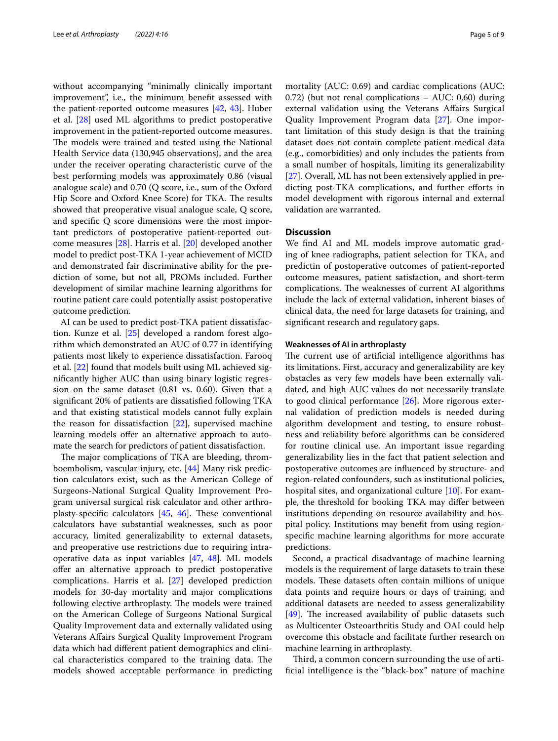without accompanying "minimally clinically important improvement", i.e., the minimum beneft assessed with the patient-reported outcome measures [[42,](#page-7-28) [43](#page-7-29)]. Huber et al. [\[28](#page-7-16)] used ML algorithms to predict postoperative improvement in the patient-reported outcome measures. The models were trained and tested using the National Health Service data (130,945 observations), and the area under the receiver operating characteristic curve of the best performing models was approximately 0.86 (visual analogue scale) and 0.70 (Q score, i.e., sum of the Oxford Hip Score and Oxford Knee Score) for TKA. The results showed that preoperative visual analogue scale, Q score, and specifc Q score dimensions were the most important predictors of postoperative patient-reported outcome measures [[28\]](#page-7-16). Harris et al. [\[20](#page-7-8)] developed another model to predict post-TKA 1-year achievement of MCID and demonstrated fair discriminative ability for the prediction of some, but not all, PROMs included. Further development of similar machine learning algorithms for routine patient care could potentially assist postoperative outcome prediction.

AI can be used to predict post-TKA patient dissatisfaction. Kunze et al. [[25](#page-7-13)] developed a random forest algorithm which demonstrated an AUC of 0.77 in identifying patients most likely to experience dissatisfaction. Farooq et al. [[22\]](#page-7-10) found that models built using ML achieved signifcantly higher AUC than using binary logistic regression on the same dataset (0.81 vs. 0.60). Given that a signifcant 20% of patients are dissatisfed following TKA and that existing statistical models cannot fully explain the reason for dissatisfaction [\[22](#page-7-10)], supervised machine learning models offer an alternative approach to automate the search for predictors of patient dissatisfaction.

The major complications of TKA are bleeding, thromboembolism, vascular injury, etc. [\[44\]](#page-7-30) Many risk prediction calculators exist, such as the American College of Surgeons-National Surgical Quality Improvement Program universal surgical risk calculator and other arthroplasty-specific calculators  $[45, 46]$  $[45, 46]$  $[45, 46]$ . These conventional calculators have substantial weaknesses, such as poor accuracy, limited generalizability to external datasets, and preoperative use restrictions due to requiring intraoperative data as input variables [[47,](#page-7-33) [48\]](#page-7-34). ML models ofer an alternative approach to predict postoperative complications. Harris et al. [\[27\]](#page-7-15) developed prediction models for 30-day mortality and major complications following elective arthroplasty. The models were trained on the American College of Surgeons National Surgical Quality Improvement data and externally validated using Veterans Afairs Surgical Quality Improvement Program data which had diferent patient demographics and clinical characteristics compared to the training data. The models showed acceptable performance in predicting mortality (AUC: 0.69) and cardiac complications (AUC: 0.72) (but not renal complications – AUC: 0.60) during external validation using the Veterans Afairs Surgical Quality Improvement Program data [\[27](#page-7-15)]. One important limitation of this study design is that the training dataset does not contain complete patient medical data (e.g., comorbidities) and only includes the patients from a small number of hospitals, limiting its generalizability [[27\]](#page-7-15). Overall, ML has not been extensively applied in predicting post-TKA complications, and further eforts in model development with rigorous internal and external validation are warranted.

#### **Discussion**

We fnd AI and ML models improve automatic grading of knee radiographs, patient selection for TKA, and predictin of postoperative outcomes of patient-reported outcome measures, patient satisfaction, and short-term complications. The weaknesses of current AI algorithms include the lack of external validation, inherent biases of clinical data, the need for large datasets for training, and signifcant research and regulatory gaps.

#### **Weaknesses of AI in arthroplasty**

The current use of artificial intelligence algorithms has its limitations. First, accuracy and generalizability are key obstacles as very few models have been externally validated, and high AUC values do not necessarily translate to good clinical performance [\[26](#page-7-14)]. More rigorous external validation of prediction models is needed during algorithm development and testing, to ensure robustness and reliability before algorithms can be considered for routine clinical use. An important issue regarding generalizability lies in the fact that patient selection and postoperative outcomes are infuenced by structure- and region-related confounders, such as institutional policies, hospital sites, and organizational culture [\[10](#page-6-10)]. For example, the threshold for booking TKA may difer between institutions depending on resource availability and hospital policy. Institutions may beneft from using regionspecifc machine learning algorithms for more accurate predictions.

Second, a practical disadvantage of machine learning models is the requirement of large datasets to train these models. These datasets often contain millions of unique data points and require hours or days of training, and additional datasets are needed to assess generalizability [[49\]](#page-7-35). The increased availability of public datasets such as Multicenter Osteoarthritis Study and OAI could help overcome this obstacle and facilitate further research on machine learning in arthroplasty.

Third, a common concern surrounding the use of artifcial intelligence is the "black-box" nature of machine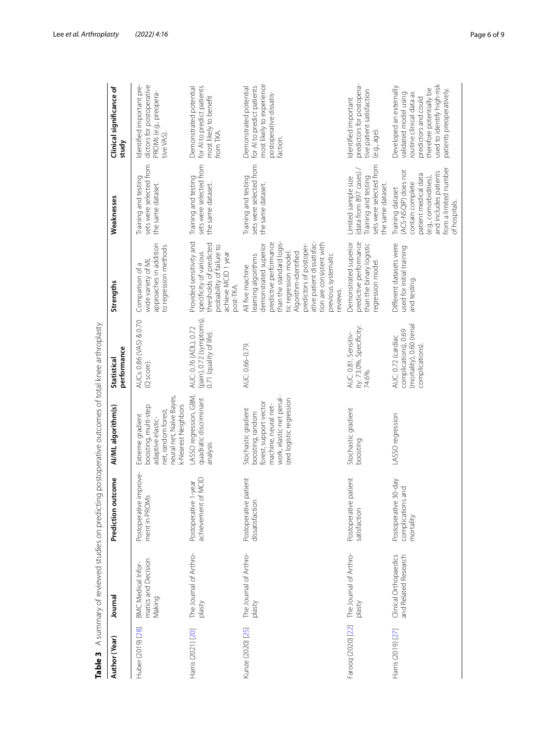| Table 3            | A summary of reviewed studies on predicting postoperative outcomes of total knee arthroplasty |                                                                |                                                                                                                                                   |                                                                                          |                                                                                                                                                                                                                                                                                               |                                                                                                                                                                                  |                                                                                                                                                                                            |
|--------------------|-----------------------------------------------------------------------------------------------|----------------------------------------------------------------|---------------------------------------------------------------------------------------------------------------------------------------------------|------------------------------------------------------------------------------------------|-----------------------------------------------------------------------------------------------------------------------------------------------------------------------------------------------------------------------------------------------------------------------------------------------|----------------------------------------------------------------------------------------------------------------------------------------------------------------------------------|--------------------------------------------------------------------------------------------------------------------------------------------------------------------------------------------|
| Author (Year)      | Journal                                                                                       | Prediction outcome                                             | AI/ML algorithm(s)                                                                                                                                | performance<br>Statistical                                                               | Strengths                                                                                                                                                                                                                                                                                     | Weaknesses                                                                                                                                                                       | Clinical significance of<br>study                                                                                                                                                          |
| Huber (2019) [28]  | matics and Decision<br><b>BMC Medical Infor</b><br>Making                                     | Postoperative improve-<br>ment in PROM                         | neural net, Naïve Bayes,<br>k-Nearest Neighbors<br>boosting, multi-step<br>net, random forest,<br>Extreme gradient<br>adaptive elastic-           | AUCs: 0.86 (VAS) & 0.70<br>(Q score)                                                     | approaches in addition<br>to regression methods<br>wide variety of ML<br>Comparison of a                                                                                                                                                                                                      | sets were selected from<br>Training and testing<br>the same dataset.                                                                                                             | Identified important pre-<br>dictors for postoperative<br>PROMs (e.g., preopera-<br>tive VAS).                                                                                             |
| Harris (2021) [20] | The Journal of Arthro-<br>plasty                                                              | achievement of MCID<br>Postoperative 1-year                    | LASSO regression, GBM,<br>quadratic discriminant<br>analysis                                                                                      | (pain), 0.72 (symptoms),<br>AUC: 0.76 (ADL), 0.72<br>0.71 (quality of life).             | Provided sensitivity and<br>thresholds of predicted<br>probability of failure to<br>specificity of various<br>achieve MCID 1 year<br>post-TKA.                                                                                                                                                | sets were selected from<br>Training and testing<br>the same dataset.                                                                                                             | for AI to predict patients<br>Demonstrated potential<br>most likely to benefit<br>from TKA.                                                                                                |
| Kunze (2020) [25]  | The Journal of Arthro-<br>plasty                                                              | patient<br>Postoperative<br>dissatisfaction                    | work, elastic-net penal-<br>ized logistic regression<br>forest, support vector<br>machine, neural net-<br>Stochastic gradient<br>boosting, random | AUC: 0.66-0.79.                                                                          | ative patient dissatisfac-<br>predictive performance<br>than the standard logis-<br>tion are consistent with<br>predictors of postoper-<br>demonstrated superior<br>Algorithm-identified<br>tic regression model<br>previous systematic<br>earning algorithms<br>All five machine<br>reviews. | sets were selected from<br>Training and testing<br>the same dataset.                                                                                                             | most likely to experience<br>for AI to predict patients<br>Demonstrated potential<br>postoperative dissatis-<br>faction.                                                                   |
| Farooq (2020) [22] | The Journal of Arthro-<br>plasty                                                              | patient<br>Postoperative<br>satisfaction                       | Stochastic gradient<br>boosting                                                                                                                   | ity: 73.0%. Specificity:<br>AUC: 0.81. Sensitiv-<br>74.6%.                               | predictive performance<br>Demonstrated superior<br>than the binary logistic<br>regression model.                                                                                                                                                                                              | sets were selected from<br>(data from 897 cases)<br>Training and testing<br>Limited sample size<br>the same dataset.                                                             | predictors for postopera-<br>tive patient satisfaction<br>Identified important<br>(e.g., age)                                                                                              |
| Harris (2019) [27] | Clinical Orthopaedics<br>and Related Research                                                 | $30-day$<br>and<br>complications<br>Postoperative<br>mortality | LASSO regression                                                                                                                                  | (mortality), 0.60 (renal<br>complications), 0.69<br>AUC: 0.72 (cardiac<br>complications) | Different datasets were<br>used for initial training<br>and testing.                                                                                                                                                                                                                          | from a limited number<br>(ACS-NSQIP) does not<br>and includes patients<br>patient medical data<br>(e.g., comorbidities)<br>contain complete<br>Training dataset<br>of hospitals. | used to identify high-risk<br>Developed an externally<br>therefore potentially be<br>patients preoperatively.<br>validated model using<br>routine clinical data as<br>predictors and could |

<span id="page-5-0"></span>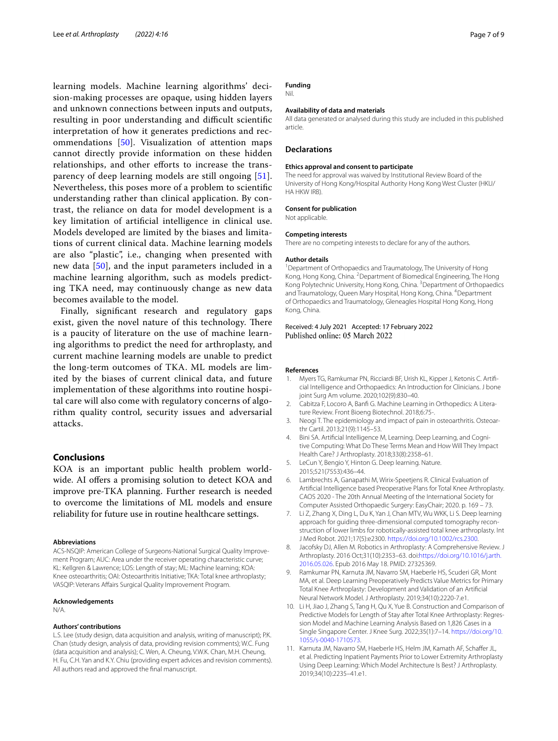learning models. Machine learning algorithms' decision-making processes are opaque, using hidden layers and unknown connections between inputs and outputs, resulting in poor understanding and difficult scientific interpretation of how it generates predictions and recommendations [[50\]](#page-7-36). Visualization of attention maps cannot directly provide information on these hidden relationships, and other efforts to increase the transparency of deep learning models are still ongoing [[51\]](#page-7-37). Nevertheless, this poses more of a problem to scientifc understanding rather than clinical application. By contrast, the reliance on data for model development is a key limitation of artifcial intelligence in clinical use. Models developed are limited by the biases and limitations of current clinical data. Machine learning models are also "plastic", i.e., changing when presented with new data [\[50](#page-7-36)], and the input parameters included in a machine learning algorithm, such as models predicting TKA need, may continuously change as new data becomes available to the model.

Finally, signifcant research and regulatory gaps exist, given the novel nature of this technology. There is a paucity of literature on the use of machine learning algorithms to predict the need for arthroplasty, and current machine learning models are unable to predict the long-term outcomes of TKA. ML models are limited by the biases of current clinical data, and future implementation of these algorithms into routine hospital care will also come with regulatory concerns of algorithm quality control, security issues and adversarial attacks.

#### **Conclusions**

KOA is an important public health problem worldwide. AI offers a promising solution to detect KOA and improve pre-TKA planning. Further research is needed to overcome the limitations of ML models and ensure reliability for future use in routine healthcare settings.

#### **Abbreviations**

ACS-NSQIP: American College of Surgeons-National Surgical Quality Improvement Program; AUC: Area under the receiver operating characteristic curve; KL: Kellgren & Lawrence; LOS: Length of stay; ML: Machine learning; KOA: Knee osteoarthritis; OAI: Osteoarthritis Initiative; TKA: Total knee arthroplasty; VASQIP: Veterans Afairs Surgical Quality Improvement Program.

#### **Acknowledgements**

N/A.

#### **Authors' contributions**

L.S. Lee (study design, data acquisition and analysis, writing of manuscript); P.K. Chan (study design, analysis of data, providing revision comments); W.C. Fung (data acquisition and analysis); C. Wen, A. Cheung, V.W.K. Chan, M.H. Cheung, H. Fu, C.H. Yan and K.Y. Chiu (providing expert advices and revision comments). All authors read and approved the fnal manuscript.

#### **Funding**

Nil.

#### **Availability of data and materials**

All data generated or analysed during this study are included in this published article.

#### **Declarations**

#### **Ethics approval and consent to participate**

The need for approval was waived by Institutional Review Board of the University of Hong Kong/Hospital Authority Hong Kong West Cluster (HKU/ HA HKW IRB).

#### **Consent for publication**

Not applicable.

#### **Competing interests**

There are no competing interests to declare for any of the authors.

#### **Author details**

<sup>1</sup> Department of Orthopaedics and Traumatology, The University of Hong Kong, Hong Kong, China. <sup>2</sup> Department of Biomedical Engineering, The Hong Kong Polytechnic University, Hong Kong, China. <sup>3</sup> Department of Orthopaedics and Traumatology, Queen Mary Hospital, Hong Kong, China. <sup>4</sup>Department of Orthopaedics and Traumatology, Gleneagles Hospital Hong Kong, Hong Kong, China.

Received: 4 July 2021 Accepted: 17 February 2022<br>Published online: 05 March 2022

#### **References**

- <span id="page-6-0"></span>1. Myers TG, Ramkumar PN, Ricciardi BF, Urish KL, Kipper J, Ketonis C. Artifcial Intelligence and Orthopaedics: An Introduction for Clinicians. J bone joint Surg Am volume. 2020;102(9):830–40.
- <span id="page-6-2"></span>2. Cabitza F, Locoro A, Banf G. Machine Learning in Orthopedics: A Literature Review. Front Bioeng Biotechnol. 2018;6:75-.
- <span id="page-6-1"></span>3. Neogi T. The epidemiology and impact of pain in osteoarthritis. Osteoarthr Cartil. 2013;21(9):1145–53.
- <span id="page-6-3"></span>4. Bini SA. Artifcial Intelligence M, Learning. Deep Learning, and Cognitive Computing: What Do These Terms Mean and How Will They Impact Health Care? J Arthroplasty. 2018;33(8):2358–61.
- <span id="page-6-4"></span>5. LeCun Y, Bengio Y, Hinton G. Deep learning. Nature. 2015;521(7553):436–44.
- <span id="page-6-5"></span>6. Lambrechts A, Ganapathi M, Wirix-Speetjens R. Clinical Evaluation of Artifcial Intelligence based Preoperative Plans for Total Knee Arthroplasty. CAOS 2020 - The 20th Annual Meeting of the International Society for Computer Assisted Orthopaedic Surgery: EasyChair; 2020. p. 169 – 73.
- <span id="page-6-6"></span>7. Li Z, Zhang X, Ding L, Du K, Yan J, Chan MTV, Wu WKK, Li S. Deep learning approach for guiding three-dimensional computed tomography reconstruction of lower limbs for robotically-assisted total knee arthroplasty. Int J Med Robot. 2021;17(5):e2300. [https://doi.org/10.1002/rcs.2300.](https://doi.org/10.1002/rcs.2300)
- <span id="page-6-7"></span>8. Jacofsky DJ, Allen M. Robotics in Arthroplasty: A Comprehensive Review. J Arthroplasty. 2016 Oct;31(10):2353–63. doi[:https://doi.org/10.1016/j.arth.](https://doi.org/10.1016/j.arth.2016.05.026) [2016.05.026](https://doi.org/10.1016/j.arth.2016.05.026). Epub 2016 May 18. PMID: 27325369.
- <span id="page-6-8"></span>Ramkumar PN, Karnuta JM, Navarro SM, Haeberle HS, Scuderi GR, Mont MA, et al. Deep Learning Preoperatively Predicts Value Metrics for Primary Total Knee Arthroplasty: Development and Validation of an Artifcial Neural Network Model. J Arthroplasty. 2019;34(10):2220-7.e1.
- <span id="page-6-10"></span>10. Li H, Jiao J, Zhang S, Tang H, Qu X, Yue B. Construction and Comparison of Predictive Models for Length of Stay after Total Knee Arthroplasty: Regression Model and Machine Learning Analysis Based on 1,826 Cases in a Single Singapore Center. J Knee Surg. 2022;35(1):7–14. [https://doi.org/10.](https://doi.org/10.1055/s-0040-1710573) [1055/s-0040-1710573.](https://doi.org/10.1055/s-0040-1710573)
- <span id="page-6-9"></span>11. Karnuta JM, Navarro SM, Haeberle HS, Helm JM, Kamath AF, Schafer JL, et al. Predicting Inpatient Payments Prior to Lower Extremity Arthroplasty Using Deep Learning: Which Model Architecture Is Best? J Arthroplasty. 2019;34(10):2235–41.e1.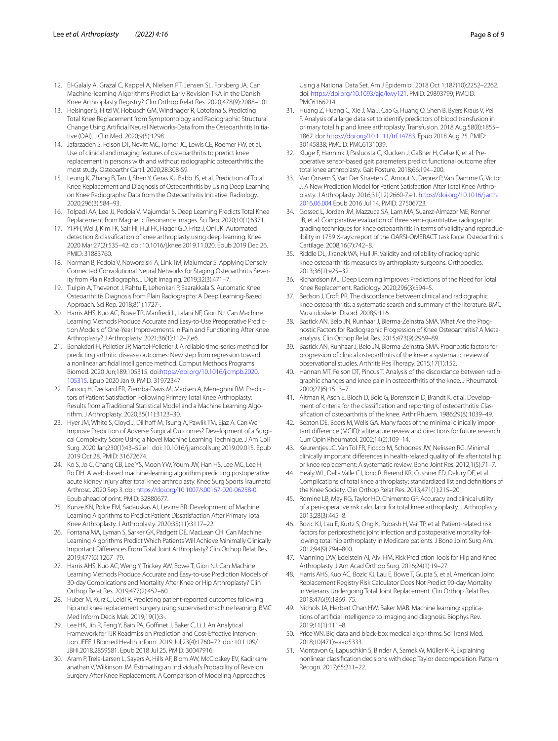- <span id="page-7-0"></span>12. El-Galaly A, Grazal C, Kappel A, Nielsen PT, Jensen SL, Forsberg JA. Can Machine-learning Algorithms Predict Early Revision TKA in the Danish Knee Arthroplasty Registry? Clin Orthop Relat Res. 2020;478(9):2088–101.
- <span id="page-7-1"></span>13. Heisinger S, Hitzl W, Hobusch GM, Windhager R, Cotofana S. Predicting Total Knee Replacement from Symptomology and Radiographic Structural Change Using Artifcial Neural Networks-Data from the Osteoarthritis Initiative (OAI). J Clin Med. 2020;9(5):1298.
- <span id="page-7-2"></span>14. Jafarzadeh S, Felson DT, Nevitt MC, Torner JC, Lewis CE, Roemer FW, et al. Use of clinical and imaging features of osteoarthritis to predict knee replacement in persons with and without radiographic osteoarthritis: the most study. Osteoarthr Cartil. 2020;28:308-S9.
- <span id="page-7-3"></span>15. Leung K, Zhang B, Tan J, Shen Y, Geras KJ, Babb JS, et al. Prediction of Total Knee Replacement and Diagnosis of Osteoarthritis by Using Deep Learning on Knee Radiographs: Data from the Osteoarthritis Initiative. Radiology. 2020;296(3):584–93.
- <span id="page-7-4"></span>16. Tolpadi AA, Lee JJ, Pedoia V, Majumdar S. Deep Learning Predicts Total Knee Replacement from Magnetic Resonance Images. Sci Rep. 2020;10(1):6371.
- <span id="page-7-5"></span>17. Yi PH, Wei J, Kim TK, Sair HI, Hui FK, Hager GD, Fritz J, Oni JK. Automated detection & classifcation of knee arthroplasty using deep learning. Knee. 2020 Mar;27(2):535–42. doi: 10.1016/j.knee.2019.11.020. Epub 2019 Dec 26. PMID: 31883760.
- <span id="page-7-6"></span>18. Norman B, Pedoia V, Noworolski A, Link TM, Majumdar S. Applying Densely Connected Convolutional Neural Networks for Staging Osteoarthritis Severity from Plain Radiographs. J Digit Imaging. 2019;32(3):471–7.
- <span id="page-7-7"></span>19. Tiulpin A, Thevenot J, Rahtu E, Lehenkari P, Saarakkala S. Automatic Knee Osteoarthritis Diagnosis from Plain Radiographs: A Deep Learning-Based Approach. Sci Rep. 2018;8(1):1727-.
- <span id="page-7-8"></span>20. Harris AHS, Kuo AC, Bowe TR, Manfredi L, Lalani NF, Giori NJ. Can Machine Learning Methods Produce Accurate and Easy-to-Use Preoperative Prediction Models of One-Year Improvements in Pain and Functioning After Knee Arthroplasty? J Arthroplasty. 2021;36(1):112–7.e6.
- <span id="page-7-9"></span>21. Bonakdari H, Pelletier JP, Martel-Pelletier J. A reliable time-series method for predicting arthritic disease outcomes: New step from regression toward a nonlinear artifcial intelligence method. Comput Methods Programs Biomed. 2020 Jun;189:105315. doi:[https://doi.org/10.1016/j.cmpb.2020.](https://doi.org/10.1016/j.cmpb.2020.105315) [105315](https://doi.org/10.1016/j.cmpb.2020.105315). Epub 2020 Jan 9. PMID: 31972347.
- <span id="page-7-10"></span>22. Farooq H, Deckard ER, Ziemba-Davis M, Madsen A, Meneghini RM. Predictors of Patient Satisfaction Following Primary Total Knee Arthroplasty: Results from a Traditional Statistical Model and a Machine Learning Algorithm. J Arthroplasty. 2020;35(11):3123–30.
- <span id="page-7-11"></span>23. Hyer JM, White S, Cloyd J, Dillhoff M, Tsung A, Pawlik TM, Ejaz A. Can We Improve Prediction of Adverse Surgical Outcomes? Development of a Surgical Complexity Score Using a Novel Machine Learning Technique. J Am Coll Surg. 2020 Jan;230(1):43–52.e1. doi: 10.1016/j.jamcollsurg.2019.09.015. Epub 2019 Oct 28. PMID: 31672674.
- <span id="page-7-12"></span>24. Ko S, Jo C, Chang CB, Lee YS, Moon YW, Youm JW, Han HS, Lee MC, Lee H, Ro DH. A web-based machine-learning algorithm predicting postoperative acute kidney injury after total knee arthroplasty. Knee Surg Sports Traumatol Arthrosc. 2020 Sep 3. doi: [https://doi.org/10.1007/s00167-020-06258-0.](https://doi.org/10.1007/s00167-020-06258-0) Epub ahead of print. PMID: 32880677.
- <span id="page-7-13"></span>25. Kunze KN, Polce EM, Sadauskas AJ, Levine BR. Development of Machine Learning Algorithms to Predict Patient Dissatisfaction After Primary Total Knee Arthroplasty. J Arthroplasty. 2020;35(11):3117–22.
- <span id="page-7-14"></span>26. Fontana MA, Lyman S, Sarker GK, Padgett DE, MacLean CH. Can Machine Learning Algorithms Predict Which Patients Will Achieve Minimally Clinically Important Diferences From Total Joint Arthroplasty? Clin Orthop Relat Res. 2019;477(6):1267–79.
- <span id="page-7-15"></span>27. Harris AHS, Kuo AC, Weng Y, Trickey AW, Bowe T, Giori NJ. Can Machine Learning Methods Produce Accurate and Easy-to-use Prediction Models of 30-day Complications and Mortality After Knee or Hip Arthroplasty? Clin Orthop Relat Res. 2019;477(2):452–60.
- <span id="page-7-16"></span>28. Huber M, Kurz C, Leidl R. Predicting patient-reported outcomes following hip and knee replacement surgery using supervised machine learning. BMC Med Inform Decis Mak. 2019;19(1):3-.
- <span id="page-7-17"></span>29. Lee HK, Jin R, Feng Y, Bain PA, Goffinet J, Baker C, Li J. An Analytical Framework for TJR Readmission Prediction and Cost-Efective Intervention. IEEE J Biomed Health Inform. 2019 Jul;23(4):1760–72. doi: 10.1109/ JBHI.2018.2859581. Epub 2018 Jul 25. PMID: 30047916.
- <span id="page-7-18"></span>30. Aram P, Trela-Larsen L, Sayers A, Hills AF, Blom AW, McCloskey EV, Kadirkamanathan V, Wilkinson JM. Estimating an Individual's Probability of Revision Surgery After Knee Replacement: A Comparison of Modeling Approaches

Using a National Data Set. Am J Epidemiol. 2018 Oct 1;187(10):2252–2262. doi: <https://doi.org/10.1093/aje/kwy121>. PMID: 29893799; PMCID: PMC6166214.

- <span id="page-7-19"></span>31. Huang Z, Huang C, Xie J, Ma J, Cao G, Huang Q, Shen B, Byers Kraus V, Pei F. Analysis of a large data set to identify predictors of blood transfusion in primary total hip and knee arthroplasty. Transfusion. 2018 Aug;58(8):1855– 1862. doi: <https://doi.org/10.1111/trf.14783>. Epub 2018 Aug 25. PMID: 30145838; PMCID: PMC6131039.
- <span id="page-7-20"></span>32. Kluge F, Hannink J, Pasluosta C, Klucken J, Gaßner H, Gelse K, et al. Preoperative sensor-based gait parameters predict functional outcome after total knee arthroplasty. Gait Posture. 2018;66:194–200.
- <span id="page-7-21"></span>33. Van Onsem S, Van Der Straeten C, Arnout N, Deprez P, Van Damme G, Victor J. A New Prediction Model for Patient Satisfaction After Total Knee Arthroplasty. J Arthroplasty. 2016;31(12):2660-7.e1. [https://doi.org/10.1016/j.arth.](https://doi.org/10.1016/j.arth.2016.06.004) [2016.06.004](https://doi.org/10.1016/j.arth.2016.06.004) Epub 2016 Jul 14. PMID: 27506723.
- <span id="page-7-22"></span>34. Gossec L, Jordan JM, Mazzuca SA, Lam MA, Suarez-Almazor ME, Renner JB, et al. Comparative evaluation of three semi-quantitative radiographic grading techniques for knee osteoarthritis in terms of validity and reproducibility in 1759 X-rays: report of the OARSI-OMERACT task force. Osteoarthritis Cartilage. 2008;16(7):742–8.
- <span id="page-7-23"></span>35. Riddle DL, Jiranek WA, Hull JR. Validity and reliability of radiographic knee osteoarthritis measures by arthroplasty surgeons. Orthopedics. 2013;36(1):e25–32.
- <span id="page-7-24"></span>36. Richardson ML. Deep Learning Improves Predictions of the Need for Total Knee Replacement. Radiology. 2020;296(3):594–5.
- <span id="page-7-25"></span>37. Bedson J, Croft PR. The discordance between clinical and radiographic knee osteoarthritis: a systematic search and summary of the literature. BMC Musculoskelet Disord. 2008;9:116.
- 38. Bastick AN, Belo JN, Runhaar J, Bierma-Zeinstra SMA. What Are the Prognostic Factors for Radiographic Progression of Knee Osteoarthritis? A Metaanalysis. Clin Orthop Relat Res. 2015;473(9):2969–89.
- 39. Bastick AN, Runhaar J, Belo JN, Bierma-Zeinstra SMA. Prognostic factors for progression of clinical osteoarthritis of the knee: a systematic review of observational studies. Arthritis Res Therapy. 2015;17(1):152.
- <span id="page-7-26"></span>40. Hannan MT, Felson DT, Pincus T. Analysis of the discordance between radiographic changes and knee pain in osteoarthritis of the knee. J Rheumatol. 2000;27(6):1513–7.
- <span id="page-7-27"></span>41. Altman R, Asch E, Bloch D, Bole G, Borenstein D, Brandt K, et al. Development of criteria for the classifcation and reporting of osteoarthritis: Classifcation of osteoarthritis of the knee. Arthr Rhuem. 1986;29(8):1039–49.
- <span id="page-7-28"></span>42. Beaton DE, Boers M, Wells GA. Many faces of the minimal clinically important diference (MCID): a literature review and directions for future research. Curr Opin Rheumatol. 2002;14(2):109–14.
- <span id="page-7-29"></span>43. Keurentjes JC, Van Tol FR, Fiocco M, Schoones JW, Nelissen RG. Minimal clinically important diferences in health-related quality of life after total hip or knee replacement: A systematic review. Bone Joint Res. 2012;1(5):71–7.
- <span id="page-7-30"></span>44. Healy WL, Della Valle CJ, Iorio R, Berend KR, Cushner FD, Dalury DF, et al. Complications of total knee arthroplasty: standardized list and defnitions of the Knee Society. Clin Orthop Relat Res. 2013;471(1):215–20.
- <span id="page-7-31"></span>45. Romine LB, May RG, Taylor HD, Chimento GF. Accuracy and clinical utility of a peri-operative risk calculator for total knee arthroplasty. J Arthroplasty. 2013;28(3):445–8.
- <span id="page-7-32"></span>46. Bozic KJ, Lau E, Kurtz S, Ong K, Rubash H, Vail TP, et al. Patient-related risk factors for periprosthetic joint infection and postoperative mortality following total hip arthroplasty in Medicare patients. J Bone Joint Surg Am. 2012;94(9):794–800.
- <span id="page-7-33"></span>47. Manning DW, Edelstein AI, Alvi HM. Risk Prediction Tools for Hip and Knee Arthroplasty. J Am Acad Orthop Surg. 2016;24(1):19–27.
- <span id="page-7-34"></span>48. Harris AHS, Kuo AC, Bozic KJ, Lau E, Bowe T, Gupta S, et al. American Joint Replacement Registry Risk Calculator Does Not Predict 90-day Mortality in Veterans Undergoing Total Joint Replacement. Clin Orthop Relat Res. 2018;476(9):1869–75.
- <span id="page-7-35"></span>49. Nichols JA, Herbert Chan HW, Baker MAB. Machine learning: applications of artifcial intelligence to imaging and diagnosis. Biophys Rev. 2019;11(1):111–8.
- <span id="page-7-36"></span>50. Price WN. Big data and black-box medical algorithms. Sci Transl Med. 2018;10(471):eaao5333.
- <span id="page-7-37"></span>51. Montavon G, Lapuschkin S, Binder A, Samek W, Müller K-R. Explaining nonlinear classifcation decisions with deep Taylor decomposition. Pattern Recogn. 2017;65:211–22.